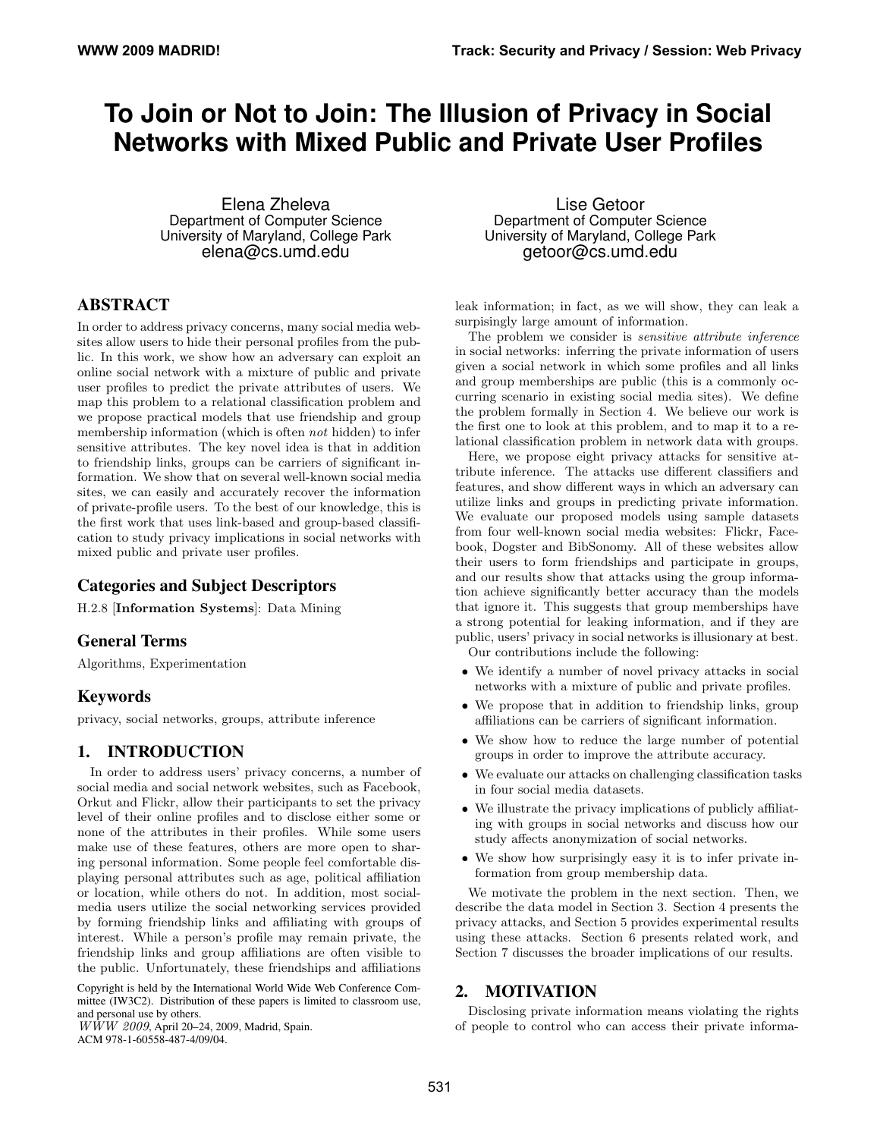# To Join or Not to Join: The Illusion of Privacy in Social Networks with Mixed Public and Private User Profiles

Elena Zheleva Department of Computer Science University of Maryland, College Park elena@cs.umd.edu

# ABSTRACT

In order to address privacy concerns, many social media websites allow users to hide their personal profiles from the public. In this work, we show how an adversary can exploit an online social network with a mixture of public and private user profiles to predict the private attributes of users. We map this problem to a relational classification problem and we propose practical models that use friendship and group membership information (which is often not hidden) to infer sensitive attributes. The key novel idea is that in addition to friendship links, groups can be carriers of significant information. We show that on several well-known social media sites, we can easily and accurately recover the information of private-profile users. To the best of our knowledge, this is the first work that uses link-based and group-based classification to study privacy implications in social networks with mixed public and private user profiles.

# Categories and Subject Descriptors

H.2.8 [Information Systems]: Data Mining

# General Terms

Algorithms, Experimentation

# Keywords

privacy, social networks, groups, attribute inference

# 1. INTRODUCTION

In order to address users' privacy concerns, a number of social media and social network websites, such as Facebook, Orkut and Flickr, allow their participants to set the privacy level of their online profiles and to disclose either some or none of the attributes in their profiles. While some users make use of these features, others are more open to sharing personal information. Some people feel comfortable displaying personal attributes such as age, political affiliation or location, while others do not. In addition, most socialmedia users utilize the social networking services provided by forming friendship links and affiliating with groups of interest. While a person's profile may remain private, the friendship links and group affiliations are often visible to the public. Unfortunately, these friendships and affiliations

Copyright is held by the International World Wide Web Conference Committee (IW3C2). Distribution of these papers is limited to classroom use, and personal use by others.

WWW 2009, April 20–24, 2009, Madrid, Spain. ACM 978-1-60558-487-4/09/04.

Lise Getoor Department of Computer Science University of Maryland, College Park getoor@cs.umd.edu

leak information; in fact, as we will show, they can leak a surpisingly large amount of information.

The problem we consider is sensitive attribute inference in social networks: inferring the private information of users given a social network in which some profiles and all links and group memberships are public (this is a commonly occurring scenario in existing social media sites). We define the problem formally in Section 4. We believe our work is the first one to look at this problem, and to map it to a relational classification problem in network data with groups.

Here, we propose eight privacy attacks for sensitive attribute inference. The attacks use different classifiers and features, and show different ways in which an adversary can utilize links and groups in predicting private information. We evaluate our proposed models using sample datasets from four well-known social media websites: Flickr, Facebook, Dogster and BibSonomy. All of these websites allow their users to form friendships and participate in groups, and our results show that attacks using the group information achieve significantly better accuracy than the models that ignore it. This suggests that group memberships have a strong potential for leaking information, and if they are public, users' privacy in social networks is illusionary at best.

Our contributions include the following:

- We identify a number of novel privacy attacks in social networks with a mixture of public and private profiles.
- We propose that in addition to friendship links, group affiliations can be carriers of significant information.
- We show how to reduce the large number of potential groups in order to improve the attribute accuracy.
- We evaluate our attacks on challenging classification tasks in four social media datasets.
- We illustrate the privacy implications of publicly affiliating with groups in social networks and discuss how our study affects anonymization of social networks.
- We show how surprisingly easy it is to infer private information from group membership data.

We motivate the problem in the next section. Then, we describe the data model in Section 3. Section 4 presents the privacy attacks, and Section 5 provides experimental results using these attacks. Section 6 presents related work, and Section 7 discusses the broader implications of our results.

# 2. MOTIVATION

Disclosing private information means violating the rights of people to control who can access their private informa-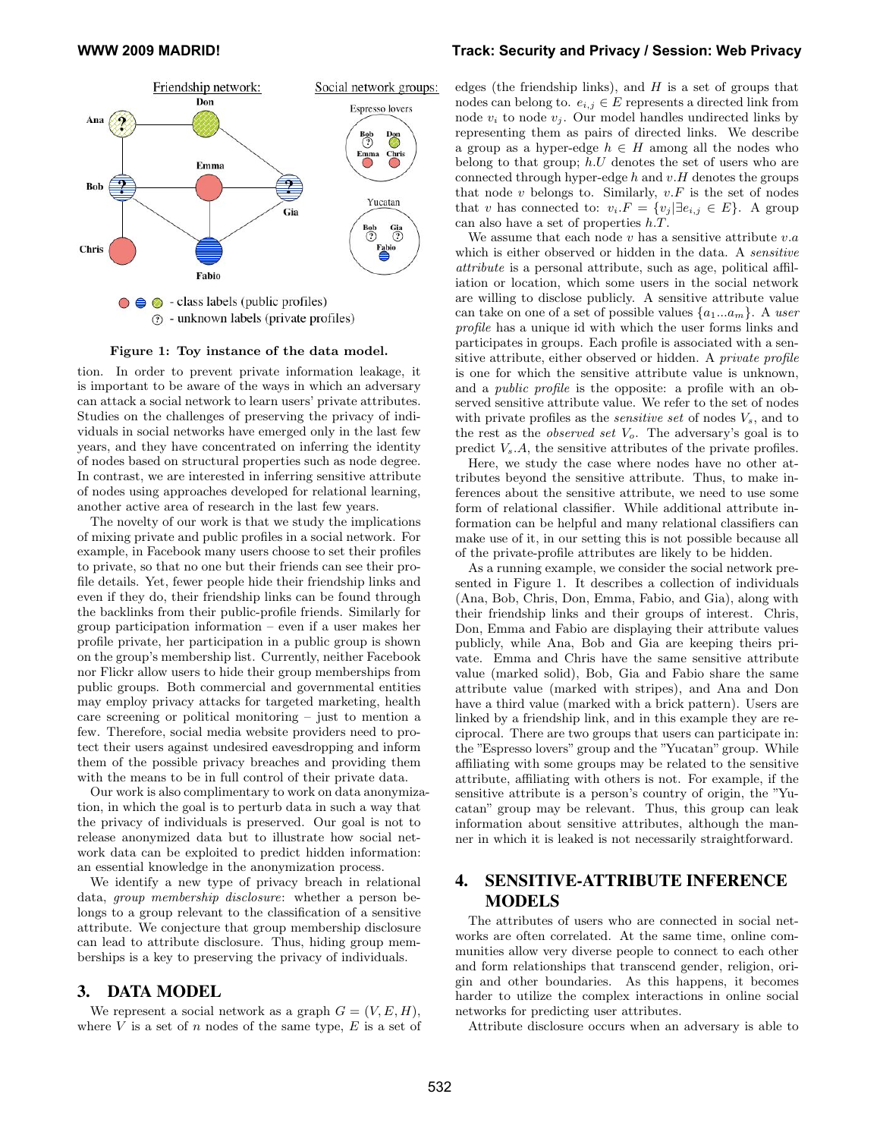

Figure 1: Toy instance of the data model.

tion. In order to prevent private information leakage, it is important to be aware of the ways in which an adversary can attack a social network to learn users' private attributes. Studies on the challenges of preserving the privacy of individuals in social networks have emerged only in the last few years, and they have concentrated on inferring the identity of nodes based on structural properties such as node degree. In contrast, we are interested in inferring sensitive attribute of nodes using approaches developed for relational learning, another active area of research in the last few years.

The novelty of our work is that we study the implications of mixing private and public profiles in a social network. For example, in Facebook many users choose to set their profiles to private, so that no one but their friends can see their profile details. Yet, fewer people hide their friendship links and even if they do, their friendship links can be found through the backlinks from their public-profile friends. Similarly for group participation information – even if a user makes her profile private, her participation in a public group is shown on the group's membership list. Currently, neither Facebook nor Flickr allow users to hide their group memberships from public groups. Both commercial and governmental entities may employ privacy attacks for targeted marketing, health care screening or political monitoring – just to mention a few. Therefore, social media website providers need to protect their users against undesired eavesdropping and inform them of the possible privacy breaches and providing them with the means to be in full control of their private data.

Our work is also complimentary to work on data anonymization, in which the goal is to perturb data in such a way that the privacy of individuals is preserved. Our goal is not to release anonymized data but to illustrate how social network data can be exploited to predict hidden information: an essential knowledge in the anonymization process.

We identify a new type of privacy breach in relational data, group membership disclosure: whether a person belongs to a group relevant to the classification of a sensitive attribute. We conjecture that group membership disclosure can lead to attribute disclosure. Thus, hiding group memberships is a key to preserving the privacy of individuals.

### 3. DATA MODEL

We represent a social network as a graph  $G = (V, E, H)$ , where  $V$  is a set of  $n$  nodes of the same type,  $E$  is a set of

#### **WWW 2009 MADRID! Track: Security and Privacy / Session: Web Privacy**

edges (the friendship links), and  $H$  is a set of groups that nodes can belong to.  $e_{i,j} \in E$  represents a directed link from node  $v_i$  to node  $v_j$ . Our model handles undirected links by representing them as pairs of directed links. We describe a group as a hyper-edge  $h \in H$  among all the nodes who belong to that group;  $h.U$  denotes the set of users who are connected through hyper-edge  $h$  and  $v.H$  denotes the groups that node v belongs to. Similarly,  $v.F$  is the set of nodes that v has connected to:  $v_i.F = \{v_j | \exists e_{i,j} \in E\}$ . A group can also have a set of properties h.T.

We assume that each node  $v$  has a sensitive attribute  $v.a$ which is either observed or hidden in the data. A sensitive attribute is a personal attribute, such as age, political affiliation or location, which some users in the social network are willing to disclose publicly. A sensitive attribute value can take on one of a set of possible values  $\{a_1...a_m\}$ . A user profile has a unique id with which the user forms links and participates in groups. Each profile is associated with a sensitive attribute, either observed or hidden. A private profile is one for which the sensitive attribute value is unknown, and a public profile is the opposite: a profile with an observed sensitive attribute value. We refer to the set of nodes with private profiles as the *sensitive set* of nodes  $V_s$ , and to the rest as the *observed set*  $V<sub>o</sub>$ . The adversary's goal is to predict  $V_s.A$ , the sensitive attributes of the private profiles.

Here, we study the case where nodes have no other attributes beyond the sensitive attribute. Thus, to make inferences about the sensitive attribute, we need to use some form of relational classifier. While additional attribute information can be helpful and many relational classifiers can make use of it, in our setting this is not possible because all of the private-profile attributes are likely to be hidden.

As a running example, we consider the social network presented in Figure 1. It describes a collection of individuals (Ana, Bob, Chris, Don, Emma, Fabio, and Gia), along with their friendship links and their groups of interest. Chris, Don, Emma and Fabio are displaying their attribute values publicly, while Ana, Bob and Gia are keeping theirs private. Emma and Chris have the same sensitive attribute value (marked solid), Bob, Gia and Fabio share the same attribute value (marked with stripes), and Ana and Don have a third value (marked with a brick pattern). Users are linked by a friendship link, and in this example they are reciprocal. There are two groups that users can participate in: the "Espresso lovers" group and the "Yucatan" group. While affiliating with some groups may be related to the sensitive attribute, affiliating with others is not. For example, if the sensitive attribute is a person's country of origin, the "Yucatan" group may be relevant. Thus, this group can leak information about sensitive attributes, although the manner in which it is leaked is not necessarily straightforward.

# 4. SENSITIVE-ATTRIBUTE INFERENCE MODELS

The attributes of users who are connected in social networks are often correlated. At the same time, online communities allow very diverse people to connect to each other and form relationships that transcend gender, religion, origin and other boundaries. As this happens, it becomes harder to utilize the complex interactions in online social networks for predicting user attributes.

Attribute disclosure occurs when an adversary is able to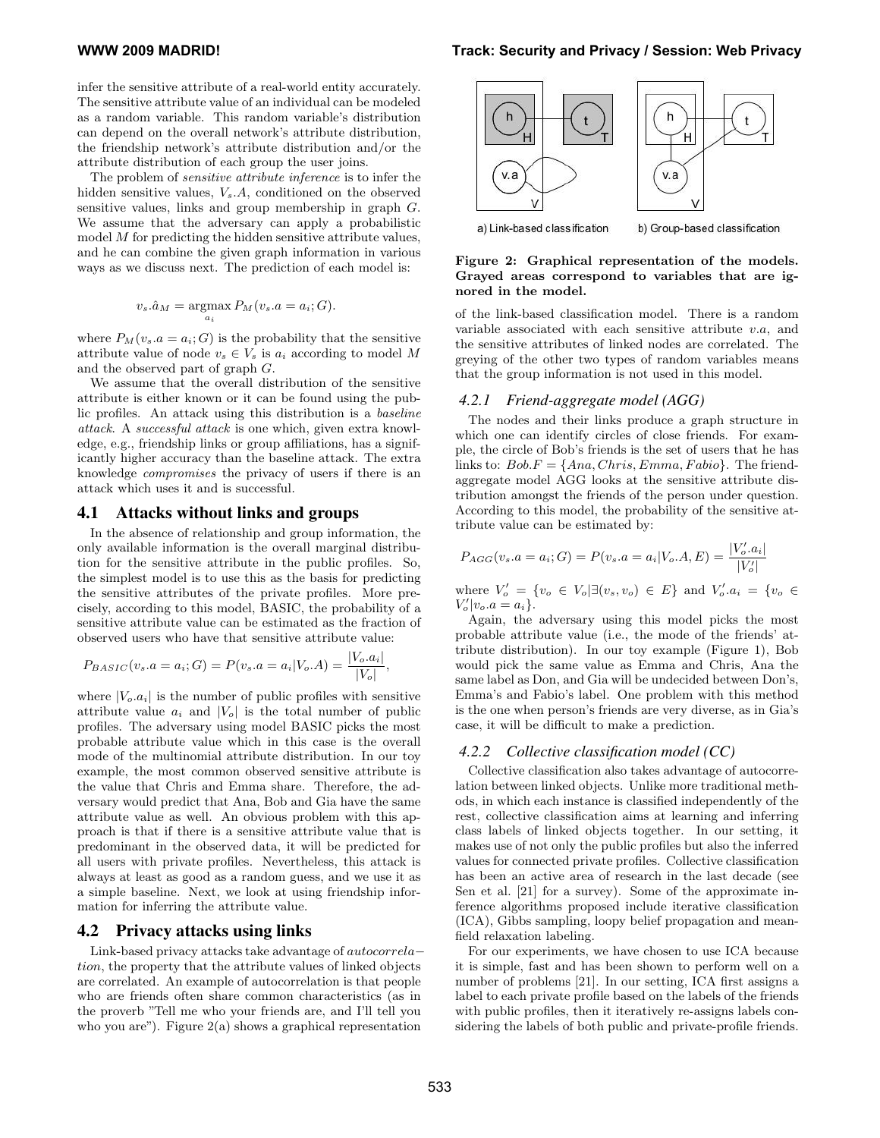infer the sensitive attribute of a real-world entity accurately. The sensitive attribute value of an individual can be modeled as a random variable. This random variable's distribution can depend on the overall network's attribute distribution, the friendship network's attribute distribution and/or the attribute distribution of each group the user joins.

The problem of *sensitive attribute inference* is to infer the hidden sensitive values,  $V_s.A$ , conditioned on the observed sensitive values, links and group membership in graph G. We assume that the adversary can apply a probabilistic model M for predicting the hidden sensitive attribute values, and he can combine the given graph information in various ways as we discuss next. The prediction of each model is:

$$
v_s.\hat{a}_M = \underset{a_i}{\text{argmax}} P_M(v_s.a = a_i; G).
$$

where  $P_M(v_s.a = a_i; G)$  is the probability that the sensitive attribute value of node  $v_s \in V_s$  is  $a_i$  according to model M and the observed part of graph G.

We assume that the overall distribution of the sensitive attribute is either known or it can be found using the public profiles. An attack using this distribution is a baseline attack. A successful attack is one which, given extra knowledge, e.g., friendship links or group affiliations, has a significantly higher accuracy than the baseline attack. The extra knowledge compromises the privacy of users if there is an attack which uses it and is successful.

### 4.1 Attacks without links and groups

In the absence of relationship and group information, the only available information is the overall marginal distribution for the sensitive attribute in the public profiles. So, the simplest model is to use this as the basis for predicting the sensitive attributes of the private profiles. More precisely, according to this model, BASIC, the probability of a sensitive attribute value can be estimated as the fraction of observed users who have that sensitive attribute value:

$$
P_{BASIC}(v_s.a = a_i; G) = P(v_s.a = a_i|V_o.A) = \frac{|V_o.a_i|}{|V_o|}
$$

where  $|V_o.a_i|$  is the number of public profiles with sensitive attribute value  $a_i$  and  $|V_o|$  is the total number of public profiles. The adversary using model BASIC picks the most probable attribute value which in this case is the overall mode of the multinomial attribute distribution. In our toy example, the most common observed sensitive attribute is the value that Chris and Emma share. Therefore, the adversary would predict that Ana, Bob and Gia have the same attribute value as well. An obvious problem with this approach is that if there is a sensitive attribute value that is predominant in the observed data, it will be predicted for all users with private profiles. Nevertheless, this attack is always at least as good as a random guess, and we use it as a simple baseline. Next, we look at using friendship information for inferring the attribute value.

#### 4.2 Privacy attacks using links

Link-based privacy attacks take advantage of autocorrela− tion, the property that the attribute values of linked objects are correlated. An example of autocorrelation is that people who are friends often share common characteristics (as in the proverb "Tell me who your friends are, and I'll tell you who you are"). Figure 2(a) shows a graphical representation

#### **WWW 2009 MADRID! Track: Security and Privacy / Session: Web Privacy**



#### Figure 2: Graphical representation of the models. Grayed areas correspond to variables that are ignored in the model.

of the link-based classification model. There is a random variable associated with each sensitive attribute v.a, and the sensitive attributes of linked nodes are correlated. The greying of the other two types of random variables means that the group information is not used in this model.

#### 4.2.1 Friend-aggregate model (AGG)

The nodes and their links produce a graph structure in which one can identify circles of close friends. For example, the circle of Bob's friends is the set of users that he has links to:  $Bob.F = \{Ana, Chris, Emma, Fabio\}$ . The friendaggregate model AGG looks at the sensitive attribute distribution amongst the friends of the person under question. According to this model, the probability of the sensitive attribute value can be estimated by:

$$
P_{AGG}(v_s.a = a_i; G) = P(v_s.a = a_i|V_o.A, E) = \frac{|V'_o.a_i|}{|V'_o|}
$$

where  $V'_{o} = \{v_{o} \in V_{o} | \exists (v_{s}, v_{o}) \in E\}$  and  $V'_{o}.a_{i} = \{v_{o} \in E\}$  $V'_{o}|v_{o}.a = a_{i}$ .

Again, the adversary using this model picks the most probable attribute value (i.e., the mode of the friends' attribute distribution). In our toy example (Figure 1), Bob would pick the same value as Emma and Chris, Ana the same label as Don, and Gia will be undecided between Don's, Emma's and Fabio's label. One problem with this method is the one when person's friends are very diverse, as in Gia's case, it will be difficult to make a prediction.

#### 4.2.2 Collective classification model (CC)

Collective classification also takes advantage of autocorrelation between linked objects. Unlike more traditional methods, in which each instance is classified independently of the rest, collective classification aims at learning and inferring class labels of linked objects together. In our setting, it makes use of not only the public profiles but also the inferred values for connected private profiles. Collective classification has been an active area of research in the last decade (see Sen et al. [21] for a survey). Some of the approximate inference algorithms proposed include iterative classification (ICA), Gibbs sampling, loopy belief propagation and meanfield relaxation labeling.

For our experiments, we have chosen to use ICA because it is simple, fast and has been shown to perform well on a number of problems [21]. In our setting, ICA first assigns a label to each private profile based on the labels of the friends with public profiles, then it iteratively re-assigns labels considering the labels of both public and private-profile friends.

,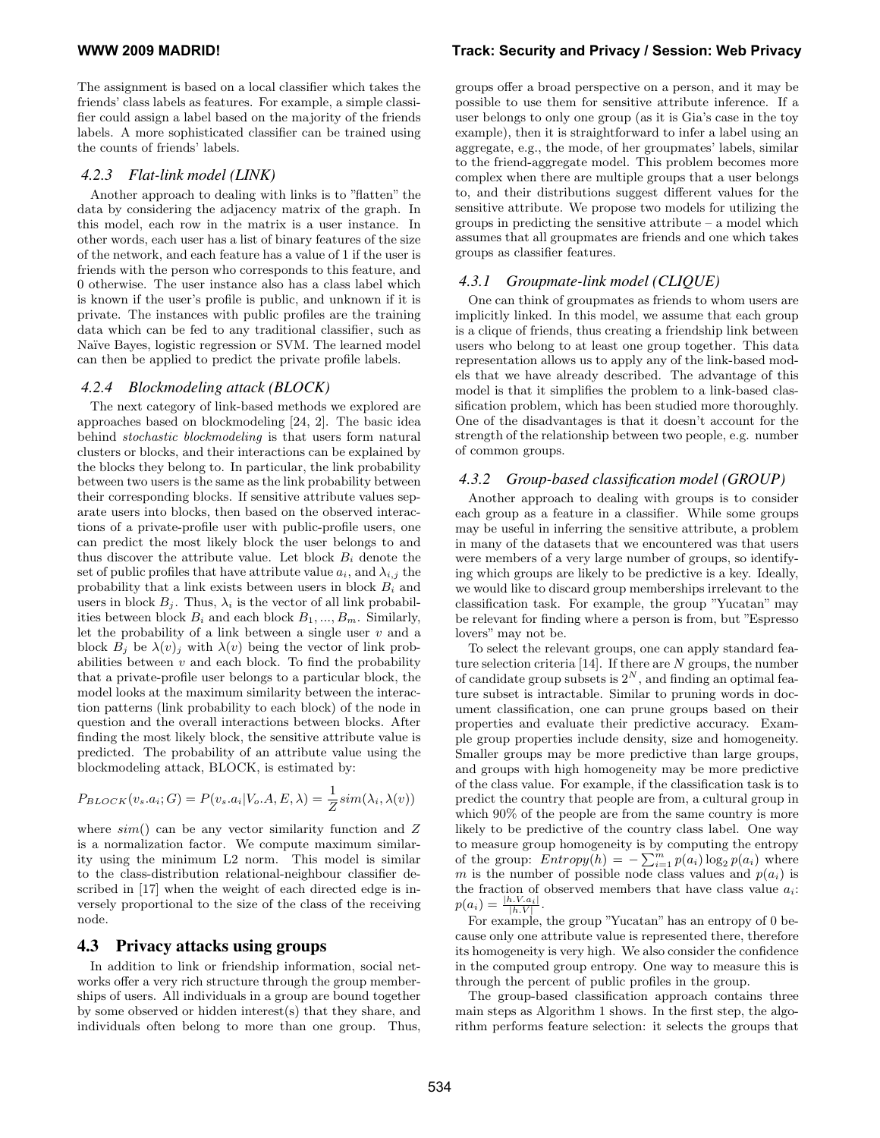The assignment is based on a local classifier which takes the friends' class labels as features. For example, a simple classifier could assign a label based on the majority of the friends labels. A more sophisticated classifier can be trained using the counts of friends' labels.

#### 4.2.3 Flat-link model (LINK)

Another approach to dealing with links is to "flatten" the data by considering the adjacency matrix of the graph. In this model, each row in the matrix is a user instance. In other words, each user has a list of binary features of the size of the network, and each feature has a value of 1 if the user is friends with the person who corresponds to this feature, and 0 otherwise. The user instance also has a class label which is known if the user's profile is public, and unknown if it is private. The instances with public profiles are the training data which can be fed to any traditional classifier, such as Naïve Bayes, logistic regression or SVM. The learned model can then be applied to predict the private profile labels.

#### 4.2.4 Blockmodeling attack (BLOCK)

The next category of link-based methods we explored are approaches based on blockmodeling [24, 2]. The basic idea behind stochastic blockmodeling is that users form natural clusters or blocks, and their interactions can be explained by the blocks they belong to. In particular, the link probability between two users is the same as the link probability between their corresponding blocks. If sensitive attribute values separate users into blocks, then based on the observed interactions of a private-profile user with public-profile users, one can predict the most likely block the user belongs to and thus discover the attribute value. Let block  $B_i$  denote the set of public profiles that have attribute value  $a_i$ , and  $\lambda_{i,j}$  the probability that a link exists between users in block  $B_i$  and users in block  $B_i$ . Thus,  $\lambda_i$  is the vector of all link probabilities between block  $B_i$  and each block  $B_1, ..., B_m$ . Similarly, let the probability of a link between a single user  $v$  and a block  $B_j$  be  $\lambda(v)_j$  with  $\lambda(v)$  being the vector of link probabilities between  $v$  and each block. To find the probability that a private-profile user belongs to a particular block, the model looks at the maximum similarity between the interaction patterns (link probability to each block) of the node in question and the overall interactions between blocks. After finding the most likely block, the sensitive attribute value is predicted. The probability of an attribute value using the blockmodeling attack, BLOCK, is estimated by:

$$
P_{BLOCK}(v_s.a_i;G) = P(v_s.a_i|V_o.A, E, \lambda) = \frac{1}{Z}sim(\lambda_i, \lambda(v))
$$

where  $sim()$  can be any vector similarity function and  $Z$ is a normalization factor. We compute maximum similarity using the minimum L2 norm. This model is similar to the class-distribution relational-neighbour classifier described in [17] when the weight of each directed edge is inversely proportional to the size of the class of the receiving node.

# 4.3 Privacy attacks using groups

In addition to link or friendship information, social networks offer a very rich structure through the group memberships of users. All individuals in a group are bound together by some observed or hidden interest(s) that they share, and individuals often belong to more than one group. Thus,

#### **WWW 2009 MADRID! Track: Security and Privacy / Session: Web Privacy**

groups offer a broad perspective on a person, and it may be possible to use them for sensitive attribute inference. If a user belongs to only one group (as it is Gia's case in the toy example), then it is straightforward to infer a label using an aggregate, e.g., the mode, of her groupmates' labels, similar to the friend-aggregate model. This problem becomes more complex when there are multiple groups that a user belongs to, and their distributions suggest different values for the sensitive attribute. We propose two models for utilizing the groups in predicting the sensitive attribute – a model which assumes that all groupmates are friends and one which takes groups as classifier features.

#### 4.3.1 Groupmate-link model (CLIQUE)

One can think of groupmates as friends to whom users are implicitly linked. In this model, we assume that each group is a clique of friends, thus creating a friendship link between users who belong to at least one group together. This data representation allows us to apply any of the link-based models that we have already described. The advantage of this model is that it simplifies the problem to a link-based classification problem, which has been studied more thoroughly. One of the disadvantages is that it doesn't account for the strength of the relationship between two people, e.g. number of common groups.

#### 4.3.2 Group-based classification model (GROUP)

Another approach to dealing with groups is to consider each group as a feature in a classifier. While some groups may be useful in inferring the sensitive attribute, a problem in many of the datasets that we encountered was that users were members of a very large number of groups, so identifying which groups are likely to be predictive is a key. Ideally, we would like to discard group memberships irrelevant to the classification task. For example, the group "Yucatan" may be relevant for finding where a person is from, but "Espresso lovers" may not be.

To select the relevant groups, one can apply standard feature selection criteria [14]. If there are  $N$  groups, the number of candidate group subsets is  $2^N$ , and finding an optimal feature subset is intractable. Similar to pruning words in document classification, one can prune groups based on their properties and evaluate their predictive accuracy. Example group properties include density, size and homogeneity. Smaller groups may be more predictive than large groups, and groups with high homogeneity may be more predictive of the class value. For example, if the classification task is to predict the country that people are from, a cultural group in which 90% of the people are from the same country is more likely to be predictive of the country class label. One way to measure group homogeneity is by computing the entropy of the group:  $Entropy(h) = -\sum_{i=1}^{m} p(a_i) \log_2 p(a_i)$  where m is the number of possible node class values and  $p(a_i)$  is the fraction of observed members that have class value  $a_i$ :  $p(a_i) = \frac{|h.V.a_i|}{|h.V|}.$ 

For example, the group "Yucatan" has an entropy of 0 because only one attribute value is represented there, therefore its homogeneity is very high. We also consider the confidence in the computed group entropy. One way to measure this is through the percent of public profiles in the group.

The group-based classification approach contains three main steps as Algorithm 1 shows. In the first step, the algorithm performs feature selection: it selects the groups that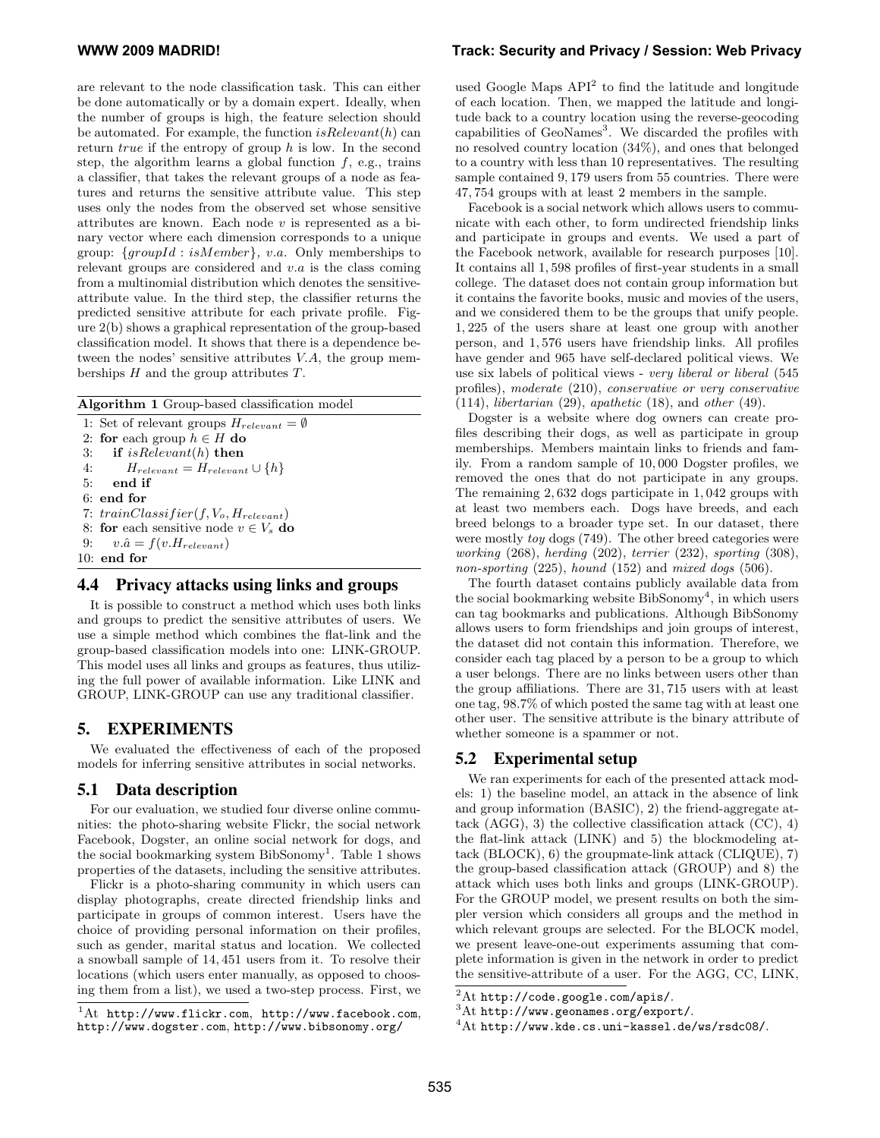are relevant to the node classification task. This can either be done automatically or by a domain expert. Ideally, when the number of groups is high, the feature selection should be automated. For example, the function  $isRelevant(h)$  can return *true* if the entropy of group  $h$  is low. In the second step, the algorithm learns a global function  $f$ , e.g., trains a classifier, that takes the relevant groups of a node as features and returns the sensitive attribute value. This step uses only the nodes from the observed set whose sensitive attributes are known. Each node  $v$  is represented as a binary vector where each dimension corresponds to a unique group:  $\{groupId : isMember\}$ , v.a. Only memberships to relevant groups are considered and  $v.a$  is the class coming from a multinomial distribution which denotes the sensitiveattribute value. In the third step, the classifier returns the predicted sensitive attribute for each private profile. Figure 2(b) shows a graphical representation of the group-based classification model. It shows that there is a dependence between the nodes' sensitive attributes V.A, the group memberships  $H$  and the group attributes  $T$ .

| <b>Algorithm 1</b> Group-based classification model |                                                      |
|-----------------------------------------------------|------------------------------------------------------|
|                                                     | 1: Set of relevant groups $H_{relevant} = \emptyset$ |
|                                                     | 2: for each group $h \in H$ do                       |
|                                                     | 3: if $isRelevant(h)$ then                           |
|                                                     | $H_{relevant} = H_{relevant} \cup \{h\}$<br>4:       |
|                                                     | $5:$ end if                                          |
|                                                     | $6:$ end for                                         |
|                                                     | 7: $trainClassifier(f, V_o, H_{relevant})$           |
|                                                     | 8: for each sensitive node $v \in V_s$ do            |
|                                                     | 9: $v.\hat{a} = f(v.H_{relevant})$                   |
|                                                     | $10:$ end for                                        |

#### 4.4 Privacy attacks using links and groups

It is possible to construct a method which uses both links and groups to predict the sensitive attributes of users. We use a simple method which combines the flat-link and the group-based classification models into one: LINK-GROUP. This model uses all links and groups as features, thus utilizing the full power of available information. Like LINK and GROUP, LINK-GROUP can use any traditional classifier.

# 5. EXPERIMENTS

We evaluated the effectiveness of each of the proposed models for inferring sensitive attributes in social networks.

# 5.1 Data description

For our evaluation, we studied four diverse online communities: the photo-sharing website Flickr, the social network Facebook, Dogster, an online social network for dogs, and the social bookmarking system BibSonomy<sup>1</sup>. Table 1 shows properties of the datasets, including the sensitive attributes.

Flickr is a photo-sharing community in which users can display photographs, create directed friendship links and participate in groups of common interest. Users have the choice of providing personal information on their profiles, such as gender, marital status and location. We collected a snowball sample of 14, 451 users from it. To resolve their locations (which users enter manually, as opposed to choosing them from a list), we used a two-step process. First, we

#### **WWW 2009 MADRID! Track: Security and Privacy / Session: Web Privacy**

used Google Maps  $API<sup>2</sup>$  to find the latitude and longitude of each location. Then, we mapped the latitude and longitude back to a country location using the reverse-geocoding capabilities of GeoNames<sup>3</sup>. We discarded the profiles with no resolved country location (34%), and ones that belonged to a country with less than 10 representatives. The resulting sample contained 9, 179 users from 55 countries. There were 47, 754 groups with at least 2 members in the sample.

Facebook is a social network which allows users to communicate with each other, to form undirected friendship links and participate in groups and events. We used a part of the Facebook network, available for research purposes [10]. It contains all 1, 598 profiles of first-year students in a small college. The dataset does not contain group information but it contains the favorite books, music and movies of the users, and we considered them to be the groups that unify people. 1, 225 of the users share at least one group with another person, and 1, 576 users have friendship links. All profiles have gender and 965 have self-declared political views. We use six labels of political views - very liberal or liberal (545 profiles), moderate (210), conservative or very conservative (114), libertarian (29), apathetic (18), and other (49).

Dogster is a website where dog owners can create profiles describing their dogs, as well as participate in group memberships. Members maintain links to friends and family. From a random sample of 10, 000 Dogster profiles, we removed the ones that do not participate in any groups. The remaining 2, 632 dogs participate in 1, 042 groups with at least two members each. Dogs have breeds, and each breed belongs to a broader type set. In our dataset, there were mostly toy dogs (749). The other breed categories were working (268), herding (202), terrier (232), sporting (308), non-sporting (225), hound (152) and mixed dogs (506).

The fourth dataset contains publicly available data from the social bookmarking website BibSonomy<sup>4</sup>, in which users can tag bookmarks and publications. Although BibSonomy allows users to form friendships and join groups of interest, the dataset did not contain this information. Therefore, we consider each tag placed by a person to be a group to which a user belongs. There are no links between users other than the group affiliations. There are 31, 715 users with at least one tag, 98.7% of which posted the same tag with at least one other user. The sensitive attribute is the binary attribute of whether someone is a spammer or not.

# 5.2 Experimental setup

We ran experiments for each of the presented attack models: 1) the baseline model, an attack in the absence of link and group information (BASIC), 2) the friend-aggregate attack  $(AGG)$ , 3) the collective classification attack  $(CC)$ , 4) the flat-link attack (LINK) and 5) the blockmodeling attack (BLOCK), 6) the groupmate-link attack (CLIQUE), 7) the group-based classification attack (GROUP) and 8) the attack which uses both links and groups (LINK-GROUP). For the GROUP model, we present results on both the simpler version which considers all groups and the method in which relevant groups are selected. For the BLOCK model, we present leave-one-out experiments assuming that complete information is given in the network in order to predict the sensitive-attribute of a user. For the AGG, CC, LINK,

 $1\text{At }$  http://www.flickr.com, http://www.facebook.com, http://www.dogster.com, http://www.bibsonomy.org/

 $^{2}$ At http://code.google.com/apis/.

<sup>3</sup>At http://www.geonames.org/export/.

 $4\text{At http://www.kde.cs.uni-kassel.de/ws/rsdc08/}.$